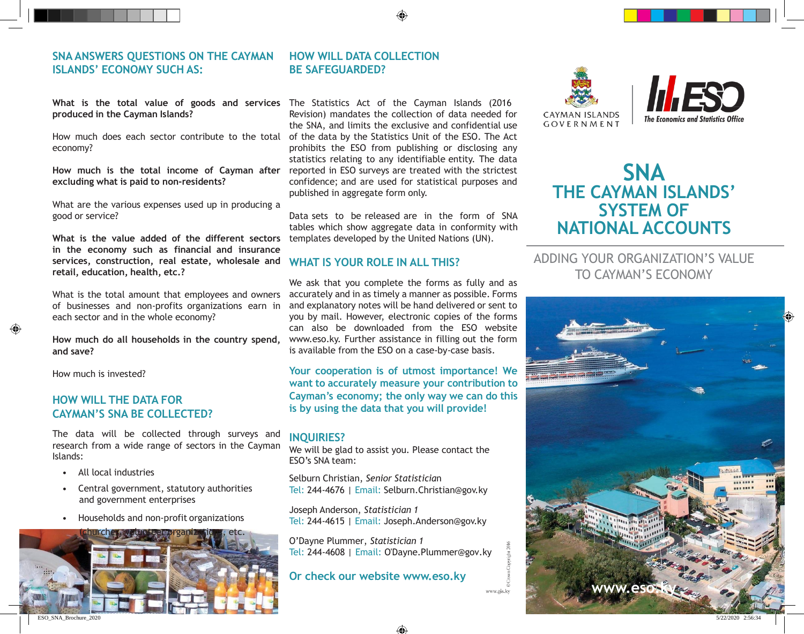# **SNA ANSWERS QUESTIONS ON THE CAYMAN ISLANDS' ECONOMY SUCH AS:**

### **What is the total value of goods and services**  The Statistics Act of the Cayman Islands (2016 **produced in the Cayman Islands?**

How much does each sector contribute to the total economy?

**How much is the total income of Cayman after excluding what is paid to non-residents?**

What are the various expenses used up in producing a good or service?

**What is the value added of the different sectors in the economy such as financial and insurance services, construction, real estate, wholesale and retail, education, health, etc.?**

What is the total amount that employees and owners of businesses and non-profits organizations earn in each sector and in the whole economy?

**How much do all households in the country spend, and save?**

How much is invested?

## **HOW WILL THE DATA FOR CAYMAN'S SNA BE COLLECTED?**

The data will be collected through surveys and research from a wide range of sectors in the Cayman Islands:

- All local industries
- Central government, statutory authorities and government enterprises
- Households and non-profit organizations



## **HOW WILL DATA COLLECTION BE SAFEGUARDED?**

Revision) mandates the collection of data needed for the SNA, and limits the exclusive and confidential use of the data by the Statistics Unit of the ESO. The Act prohibits the ESO from publishing or disclosing any statistics relating to any identifiable entity. The data reported in ESO surveys are treated with the strictest confidence; and are used for statistical purposes and published in aggregate form only.

Data sets to be released are in the form of SNA tables which show aggregate data in conformity with templates developed by the United Nations (UN).

### **WHAT IS YOUR ROLE IN ALL THIS?**

We ask that you complete the forms as fully and as accurately and in as timely a manner as possible. Forms and explanatory notes will be hand delivered or sent to you by mail. However, electronic copies of the forms can also be downloaded from the ESO website [www.eso.ky.](http://www.eso.ky/) Further assistance in filling out the form is available from the ESO on a case-by-case basis.

**Your cooperation is of utmost importance! We want to accurately measure your contribution to Cayman's economy; the only way we can do this is by using the data that you will provide!**

### **INQUIRIES?**

We will be glad to assist you. Please contact the ESO's SNA team:

Selburn Christian, *Senior Statisticia*n Tel: 244-4676 | Email: [Selburn.Christian@gov.ky](mailto:Selburn.Christian@gov.ky)

Joseph Anderson, *Statistician 1* Tel: 244-4615 | Email: [Joseph.Anderson@gov.ky](mailto:Joseph.Anderson@gov.ky)

O'Dayne Plummer, *Statistician 1* Tel: 244-4608 | Email: O'Dayne.Plummer@gov.ky

## **Or check our website [www.eso.ky](http://www.eso.ky/)**





# **SNA THE CAYMAN ISLANDS' SYSTEM OF NATIONAL ACCOUNTS**

# ADDING YOUR ORGANIZATION'S VALUE TO CAYMAN'S ECONOMY



♠

www.gis.k